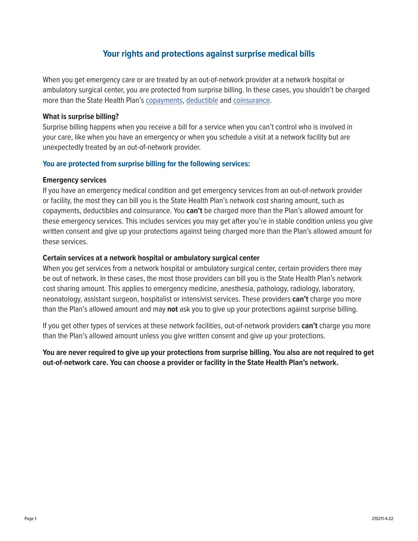# **Your rights and protections against surprise medical bills**

When you get emergency care or are treated by an out-of-network provider at a network hospital or ambulatory surgical center, you are protected from surprise billing. In these cases, you shouldn't be charged more than the State Health Plan's [copayments,](http://www.healthcare.gov/glossary/co-payment/) [deductible](http://www.healthcare.gov/glossary/deductible/) and [coinsurance.](http://www.healthcare.gov/glossary/co-insurance/)

#### **What is surprise billing?**

Surprise billing happens when you receive a bill for a service when you can't control who is involved in your care, like when you have an emergency or when you schedule a visit at a network facility but are unexpectedly treated by an out-of-network provider.

## **You are protected from surprise billing for the following services:**

## **Emergency services**

If you have an emergency medical condition and get emergency services from an out-of-network provider or facility, the most they can bill you is the State Health Plan's network cost sharing amount, such as copayments, deductibles and coinsurance. You **can't** be charged more than the Plan's allowed amount for these emergency services. This includes services you may get after you're in stable condition unless you give written consent and give up your protections against being charged more than the Plan's allowed amount for these services.

## **Certain services at a network hospital or ambulatory surgical center**

When you get services from a network hospital or ambulatory surgical center, certain providers there may be out of network. In these cases, the most those providers can bill you is the State Health Plan's network cost sharing amount. This applies to emergency medicine, anesthesia, pathology, radiology, laboratory, neonatology, assistant surgeon, hospitalist or intensivist services. These providers **can't** charge you more than the Plan's allowed amount and may **not** ask you to give up your protections against surprise billing.

If you get other types of services at these network facilities, out-of-network providers **can't** charge you more than the Plan's allowed amount unless you give written consent and give up your protections.

**You are never required to give up your protections from surprise billing. You also are not required to get out-of-network care. You can choose a provider or facility in the State Health Plan's network.**